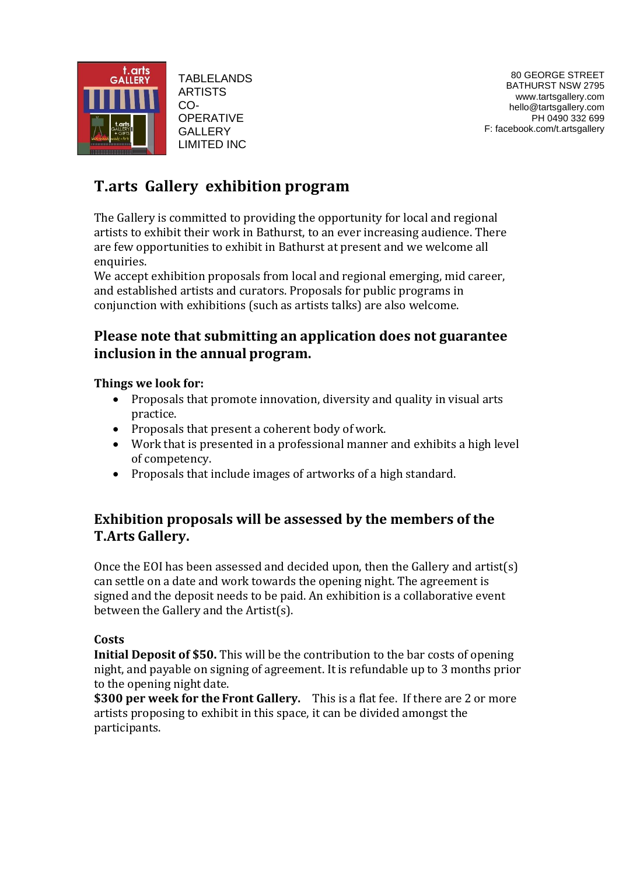

TABLELANDS ARTISTS CO-**OPERATIVE GALLERY** LIMITED INC

# **T.arts Gallery exhibition program**

The Gallery is committed to providing the opportunity for local and regional artists to exhibit their work in Bathurst, to an ever increasing audience. There are few opportunities to exhibit in Bathurst at present and we welcome all enquiries.

We accept exhibition proposals from local and regional emerging, mid career, and established artists and curators. Proposals for public programs in conjunction with exhibitions (such as artists talks) are also welcome.

## **Please note that submitting an application does not guarantee inclusion in the annual program.**

### **Things we look for:**

- Proposals that promote innovation, diversity and quality in visual arts practice.
- Proposals that present a coherent body of work.
- Work that is presented in a professional manner and exhibits a high level of competency.
- Proposals that include images of artworks of a high standard.

## **Exhibition proposals will be assessed by the members of the T.Arts Gallery.**

Once the EOI has been assessed and decided upon, then the Gallery and artist(s) can settle on a date and work towards the opening night. The agreement is signed and the deposit needs to be paid. An exhibition is a collaborative event between the Gallery and the Artist(s).

### **Costs**

**Initial Deposit of \$50.** This will be the contribution to the bar costs of opening night, and payable on signing of agreement. It is refundable up to 3 months prior to the opening night date.

**\$300 per week for the Front Gallery.** This is a flat fee. If there are 2 or more artists proposing to exhibit in this space, it can be divided amongst the participants.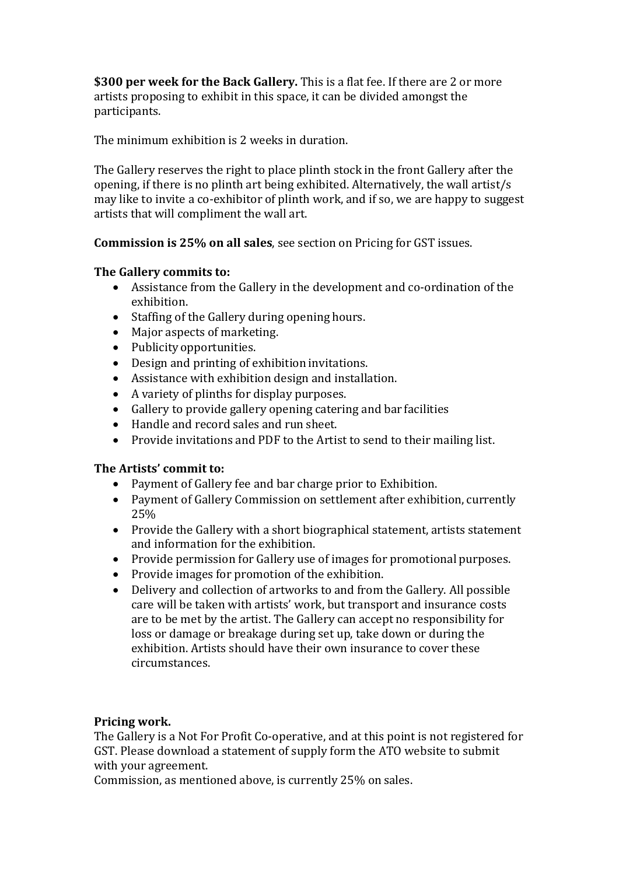**\$300 per week for the Back Gallery.** This is a flat fee. If there are 2 or more artists proposing to exhibit in this space, it can be divided amongst the participants.

The minimum exhibition is 2 weeks in duration.

The Gallery reserves the right to place plinth stock in the front Gallery after the opening, if there is no plinth art being exhibited. Alternatively, the wall artist/s may like to invite a co-exhibitor of plinth work, and if so, we are happy to suggest artists that will compliment the wall art.

**Commission is 25% on all sales**, see section on Pricing for GST issues.

#### **The Gallery commits to:**

- Assistance from the Gallery in the development and co-ordination of the exhibition.
- Staffing of the Gallery during opening hours.
- Major aspects of marketing.
- Publicity opportunities.
- Design and printing of exhibition invitations.
- Assistance with exhibition design and installation.
- A variety of plinths for display purposes.
- Gallery to provide gallery opening catering and bar facilities
- Handle and record sales and run sheet.
- Provide invitations and PDF to the Artist to send to their mailing list.

### **The Artists' commit to:**

- Payment of Gallery fee and bar charge prior to Exhibition.
- Payment of Gallery Commission on settlement after exhibition, currently 25%
- Provide the Gallery with a short biographical statement, artists statement and information for the exhibition.
- Provide permission for Gallery use of images for promotional purposes.
- Provide images for promotion of the exhibition.
- Delivery and collection of artworks to and from the Gallery. All possible care will be taken with artists' work, but transport and insurance costs are to be met by the artist. The Gallery can accept no responsibility for loss or damage or breakage during set up, take down or during the exhibition. Artists should have their own insurance to cover these circumstances.

### **Pricing work.**

The Gallery is a Not For Profit Co-operative, and at this point is not registered for GST. Please download a statement of supply form the ATO website to submit with your agreement.

Commission, as mentioned above, is currently 25% on sales.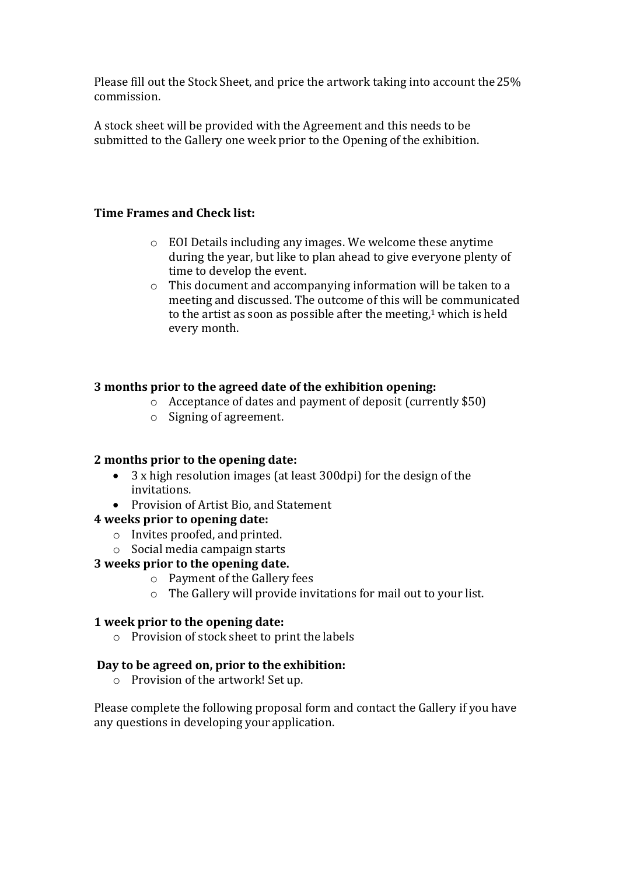Please fill out the Stock Sheet, and price the artwork taking into account the25% commission.

A stock sheet will be provided with the Agreement and this needs to be submitted to the Gallery one week prior to the Opening of the exhibition.

### **Time Frames and Check list:**

- o EOI Details including any images. We welcome these anytime during the year, but like to plan ahead to give everyone plenty of time to develop the event.
- o This document and accompanying information will be taken to a meeting and discussed. The outcome of this will be communicated to the artist as soon as possible after the meeting, $1$  which is held every month.

#### **3 months prior to the agreed date of the exhibition opening:**

- o Acceptance of dates and payment of deposit (currently \$50)
- o Signing of agreement.

### **2 months prior to the opening date:**

- 3 x high resolution images (at least 300dpi) for the design of the invitations.
- Provision of Artist Bio, and Statement

#### **4 weeks prior to opening date:**

- o Invites proofed, and printed.
- o Social media campaign starts

### **3 weeks prior to the opening date.**

- o Payment of the Gallery fees
- o The Gallery will provide invitations for mail out to your list.

#### **1 week prior to the opening date:**

o Provision of stock sheet to print the labels

### **Day to be agreed on, prior to the exhibition:**

o Provision of the artwork! Set up.

Please complete the following proposal form and contact the Gallery if you have any questions in developing your application.